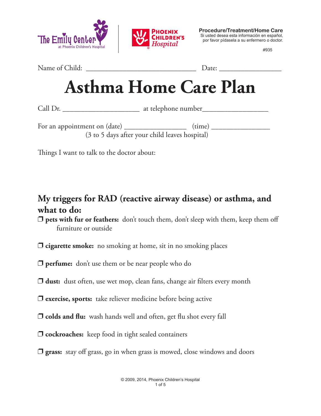



**Procedure/Treatment/Home Care** Si usted desea esta información en español, por favor pídasela a su enfermero o doctor.

#935

Name of Child: \_\_\_\_\_\_\_\_\_\_\_\_\_\_\_\_\_\_\_\_\_\_\_\_\_\_\_\_\_\_ Date: \_\_\_\_\_\_\_\_\_\_\_\_\_\_\_\_\_

# **Asthma Home Care Plan**

Call Dr. \_\_\_\_\_\_\_\_\_\_\_\_\_\_\_\_\_\_\_\_\_ at telephone number\_\_\_\_\_\_\_\_\_\_\_\_\_\_\_\_\_\_

For an appointment on (date) \_\_\_\_\_\_\_\_\_\_\_\_\_\_\_\_\_ (time) \_\_\_\_\_\_\_\_\_\_\_\_\_\_\_\_ (3 to 5 days after your child leaves hospital)

Things I want to talk to the doctor about:

#### **My triggers for RAD (reactive airway disease) or asthma, and what to do:**

**pets with fur or feathers:** don't touch them, don't sleep with them, keep them off furniture or outside

- $\Box$  **cigarette smoke:** no smoking at home, sit in no smoking places
- **perfume:** don't use them or be near people who do
- **dust:** dust often, use wet mop, clean fans, change air filters every month
- $\Box$  **exercise, sports:** take reliever medicine before being active
- **D** colds and flu: wash hands well and often, get flu shot every fall
- $\Box$  **cockroaches:** keep food in tight sealed containers
- **J** grass: stay off grass, go in when grass is mowed, close windows and doors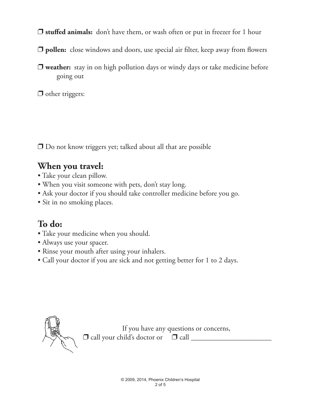**J** stuffed animals: don't have them, or wash often or put in freezer for 1 hour

- p **pollen:** close windows and doors, use special air filter, keep away from flowers
- **D** weather: stay in on high pollution days or windy days or take medicine before going out

 $\Box$  other triggers:

 $\Box$  Do not know triggers yet; talked about all that are possible

#### **When you travel:**

- Take your clean pillow.
- When you visit someone with pets, don't stay long.
- Ask your doctor if you should take controller medicine before you go.
- Sit in no smoking places.

### **To do:**

- Take your medicine when you should.
- Always use your spacer.
- Rinse your mouth after using your inhalers.
- Call your doctor if you are sick and not getting better for 1 to 2 days.



If you have any questions or concerns, p call your child's doctor or p call \_\_\_\_\_\_\_\_\_\_\_\_\_\_\_\_\_\_\_\_\_\_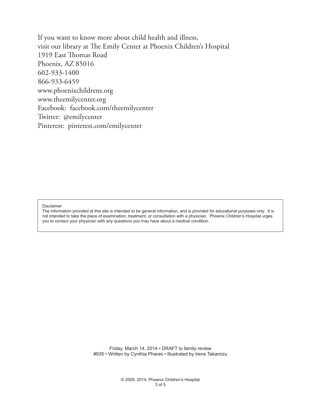If you want to know more about child health and illness, visit our library at The Emily Center at Phoenix Children's Hospital 1919 East Thomas Road Phoenix, AZ 85016 602-933-1400 866-933-6459 www.phoenixchildrens.org www.theemilycenter.org Facebook: facebook.com/theemilycenter Twitter: @emilycenter Pinterest: pinterest.com/emilycenter

Disclaimer

The information provided at this site is intended to be general information, and is provided for educational purposes only. It is not intended to take the place of examination, treatment, or consultation with a physician. Phoenix Children's Hospital urges you to contact your physician with any questions you may have about a medical condition.

> Friday, March 14, 2014 • DRAFT to family review #935 • Written by Cynthia Phares • Illustrated by Irene Takamizu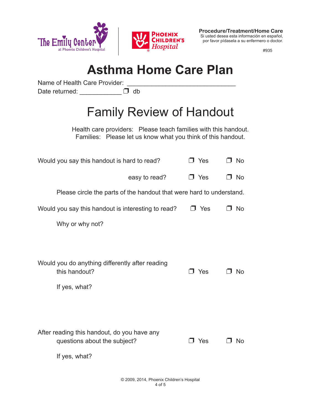

**Procedure/Treatment/Home Care** Si usted desea esta información en español, por favor pídasela a su enfermero o doctor.

#935

## **Asthma Home Care Plan**

Name of Health Care Provider:

Date returned:  $\Box$  db

## Family Review of Handout

Health care providers: Please teach families with this handout. Families: Please let us know what you think of this handout.

| Would you say this handout is hard to read?                                                  | □ Yes      | □ No       |
|----------------------------------------------------------------------------------------------|------------|------------|
| easy to read?                                                                                | $\Box$ Yes | No<br>- 11 |
| Please circle the parts of the handout that were hard to understand.                         |            |            |
| Would you say this handout is interesting to read?                                           | $\Box$ Yes | No         |
| Why or why not?                                                                              |            |            |
|                                                                                              |            |            |
| Would you do anything differently after reading<br>this handout?<br>If yes, what?            | J Yes      | No         |
| After reading this handout, do you have any<br>questions about the subject?<br>If yes, what? | J Yes      | No.        |